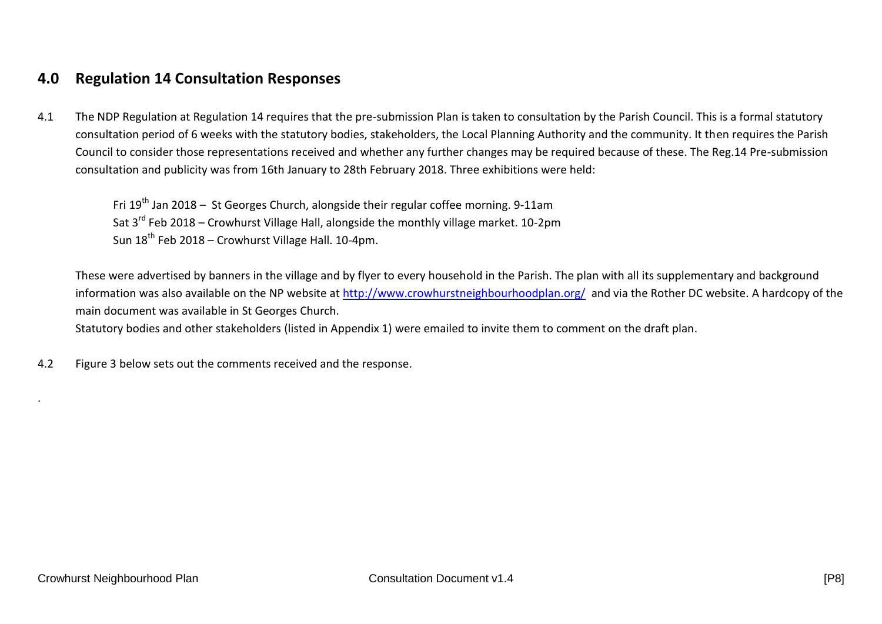## **4.0 Regulation 14 Consultation Responses**

 4.1 The NDP Regulation at Regulation 14 requires that the pre-submission Plan is taken to consultation by the Parish Council. This is a formal statutory consultation period of 6 weeks with the statutory bodies, stakeholders, the Local Planning Authority and the community. It then requires the Parish Council to consider those representations received and whether any further changes may be required because of these. The Reg.14 Pre-submission consultation and publicity was from 16th January to 28th February 2018. Three exhibitions were held:

Fri  $19<sup>th</sup>$  Jan 2018 – St Georges Church, alongside their regular coffee morning. 9-11am Sat  $3^{rd}$  Feb 2018 – Crowhurst Village Hall, alongside the monthly village market. 10-2pm Sun  $18<sup>th</sup>$  Feb 2018 – Crowhurst Village Hall. 10-4pm.

 These were advertised by banners in the village and by flyer to every household in the Parish. The plan with all its supplementary and background information was also available on the NP website at <u>http://www.crowhurstneighbourhoodplan.org/</u> and via the Rother DC website. A hardcopy of the main document was available in St Georges Church.

Statutory bodies and other stakeholders (listed in Appendix 1) were emailed to invite them to comment on the draft plan.

 $42$ Figure 3 below sets out the comments received and the response.

.